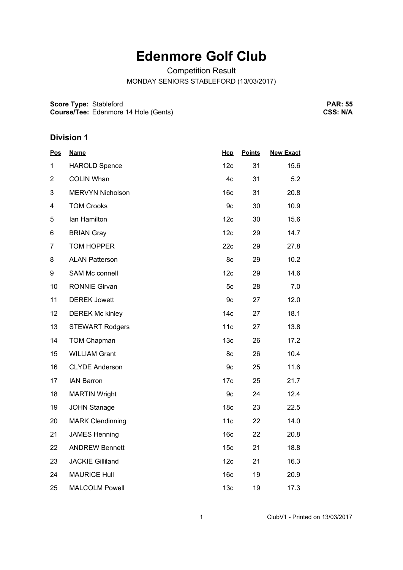## **Edenmore Golf Club**

Competition Result

MONDAY SENIORS STABLEFORD (13/03/2017)

**Score Type: Course/Tee:** Stableford Edenmore 14 Hole (Gents)

**PAR: 55 CSS: N/A**

## **Division 1**

| <b>Pos</b>     | <b>Name</b>             | Hcp             | <b>Points</b> | <b>New Exact</b> |
|----------------|-------------------------|-----------------|---------------|------------------|
| 1              | <b>HAROLD Spence</b>    | 12c             | 31            | 15.6             |
| $\overline{2}$ | <b>COLIN Whan</b>       | 4c              | 31            | 5.2              |
| 3              | <b>MERVYN Nicholson</b> | 16 <sub>c</sub> | 31            | 20.8             |
| 4              | <b>TOM Crooks</b>       | 9c              | 30            | 10.9             |
| 5              | Ian Hamilton            | 12c             | 30            | 15.6             |
| 6              | <b>BRIAN Gray</b>       | 12c             | 29            | 14.7             |
| $\overline{7}$ | TOM HOPPER              | 22c             | 29            | 27.8             |
| 8              | <b>ALAN Patterson</b>   | 8c              | 29            | 10.2             |
| 9              | SAM Mc connell          | 12c             | 29            | 14.6             |
| 10             | <b>RONNIE Girvan</b>    | 5c              | 28            | 7.0              |
| 11             | <b>DEREK Jowett</b>     | 9c              | 27            | 12.0             |
| 12             | <b>DEREK Mc kinley</b>  | 14 <sub>c</sub> | 27            | 18.1             |
| 13             | <b>STEWART Rodgers</b>  | 11c             | 27            | 13.8             |
| 14             | <b>TOM Chapman</b>      | 13 <sub>c</sub> | 26            | 17.2             |
| 15             | <b>WILLIAM Grant</b>    | 8c              | 26            | 10.4             |
| 16             | <b>CLYDE Anderson</b>   | 9c              | 25            | 11.6             |
| 17             | <b>IAN Barron</b>       | 17c             | 25            | 21.7             |
| 18             | <b>MARTIN Wright</b>    | 9c              | 24            | 12.4             |
| 19             | <b>JOHN Stanage</b>     | 18 <sub>c</sub> | 23            | 22.5             |
| 20             | <b>MARK Clendinning</b> | 11c             | 22            | 14.0             |
| 21             | <b>JAMES Henning</b>    | 16 <sub>c</sub> | 22            | 20.8             |
| 22             | <b>ANDREW Bennett</b>   | 15 <sub>c</sub> | 21            | 18.8             |
| 23             | <b>JACKIE Gilliland</b> | 12c             | 21            | 16.3             |
| 24             | <b>MAURICE Hull</b>     | 16 <sub>c</sub> | 19            | 20.9             |
| 25             | <b>MALCOLM Powell</b>   | 13 <sub>c</sub> | 19            | 17.3             |